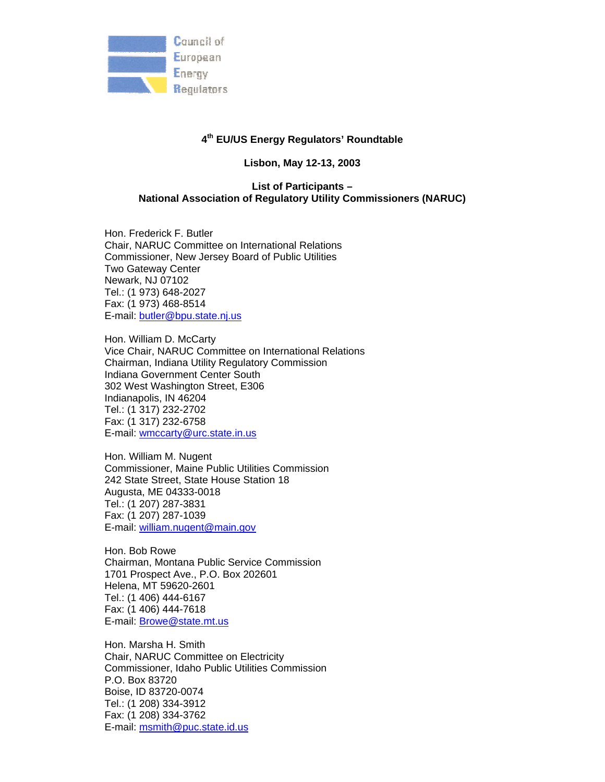

### **4th EU/US Energy Regulators' Roundtable**

**Lisbon, May 12-13, 2003** 

## **List of Participants – National Association of Regulatory Utility Commissioners (NARUC)**

Hon. Frederick F. Butler Chair, NARUC Committee on International Relations Commissioner, New Jersey Board of Public Utilities Two Gateway Center Newark, NJ 07102 Tel.: (1 973) 648-2027 Fax: (1 973) 468-8514 E-mail: butler@bpu.state.nj.us

Hon. William D. McCarty Vice Chair, NARUC Committee on International Relations Chairman, Indiana Utility Regulatory Commission Indiana Government Center South 302 West Washington Street, E306 Indianapolis, IN 46204 Tel.: (1 317) 232-2702 Fax: (1 317) 232-6758 E-mail: wmccarty@urc.state.in.us

Hon. William M. Nugent Commissioner, Maine Public Utilities Commission 242 State Street, State House Station 18 Augusta, ME 04333-0018 Tel.: (1 207) 287-3831 Fax: (1 207) 287-1039 E-mail: william.nugent@main.gov

Hon. Bob Rowe Chairman, Montana Public Service Commission 1701 Prospect Ave., P.O. Box 202601 Helena, MT 59620-2601 Tel.: (1 406) 444-6167 Fax: (1 406) 444-7618 E-mail: Browe@state.mt.us

Hon. Marsha H. Smith Chair, NARUC Committee on Electricity Commissioner, Idaho Public Utilities Commission P.O. Box 83720 Boise, ID 83720-0074 Tel.: (1 208) 334-3912 Fax: (1 208) 334-3762 E-mail: msmith@puc.state.id.us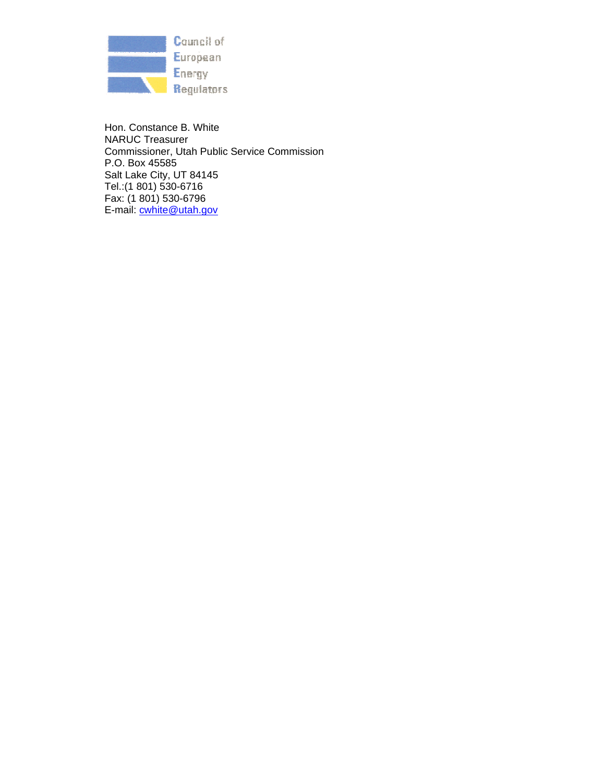

Hon. Constance B. White NARUC Treasurer Commissioner, Utah Public Service Commission P.O. Box 45585 Salt Lake City, UT 84145 Tel.:(1 801) 530-6716 Fax: (1 801) 530-6796 E-mail: cwhite@utah.gov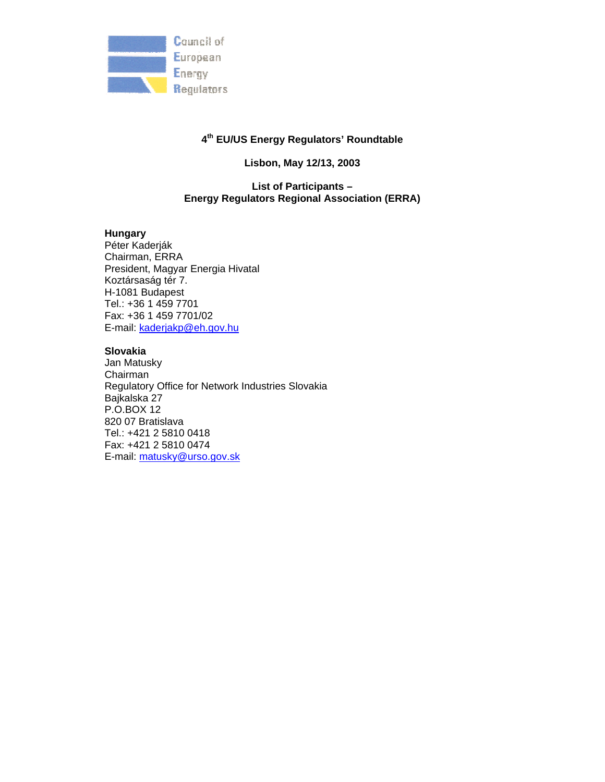

## **4th EU/US Energy Regulators' Roundtable**

# **Lisbon, May 12/13, 2003**

## **List of Participants – Energy Regulators Regional Association (ERRA)**

### **Hungary**

Péter Kaderják Chairman, ERRA President, Magyar Energia Hivatal Koztársaság tér 7. H-1081 Budapest Tel.: +36 1 459 7701 Fax: +36 1 459 7701/02 E-mail: kaderjakp@eh.gov.hu

#### **Slovakia**

Jan Matusky Chairman Regulatory Office for Network Industries Slovakia Bajkalska 27 P.O.BOX 12 820 07 Bratislava Tel.: +421 2 5810 0418 Fax: +421 2 5810 0474 E-mail: matusky@urso.gov.sk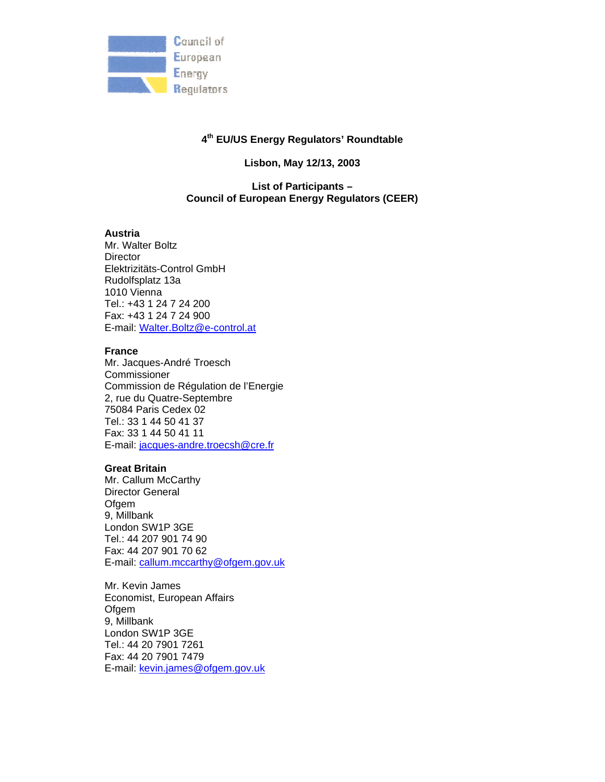

### **4th EU/US Energy Regulators' Roundtable**

### **Lisbon, May 12/13, 2003**

### **List of Participants – Council of European Energy Regulators (CEER)**

#### **Austria**

Mr. Walter Boltz **Director** Elektrizitäts-Control GmbH Rudolfsplatz 13a 1010 Vienna Tel.: +43 1 24 7 24 200 Fax: +43 1 24 7 24 900 E-mail: Walter.Boltz@e-control.at

#### **France**

Mr. Jacques-André Troesch Commissioner Commission de Régulation de l'Energie 2, rue du Quatre-Septembre 75084 Paris Cedex 02 Tel.: 33 1 44 50 41 37 Fax: 33 1 44 50 41 11 E-mail: jacques-andre.troecsh@cre.fr

#### **Great Britain**

Mr. Callum McCarthy Director General **Ofgem** 9, Millbank London SW1P 3GE Tel.: 44 207 901 74 90 Fax: 44 207 901 70 62 E-mail: callum.mccarthy@ofgem.gov.uk

Mr. Kevin James Economist, European Affairs Ofgem 9, Millbank London SW1P 3GE Tel.: 44 20 7901 7261 Fax: 44 20 7901 7479 E-mail: kevin.james@ofgem.gov.uk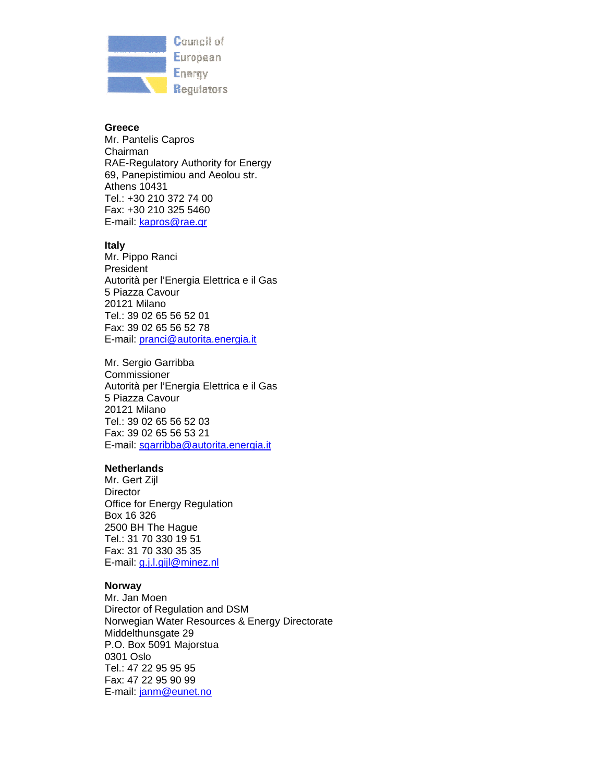

#### **Greece**

Mr. Pantelis Capros Chairman RAE-Regulatory Authority for Energy 69, Panepistimiou and Aeolou str. Athens 10431 Tel.: +30 210 372 74 00 Fax: +30 210 325 5460 E-mail: kapros@rae.gr

#### **Italy**

Mr. Pippo Ranci President Autorità per l'Energia Elettrica e il Gas 5 Piazza Cavour 20121 Milano Tel.: 39 02 65 56 52 01 Fax: 39 02 65 56 52 78 E-mail: pranci@autorita.energia.it

Mr. Sergio Garribba Commissioner Autorità per l'Energia Elettrica e il Gas 5 Piazza Cavour 20121 Milano Tel.: 39 02 65 56 52 03 Fax: 39 02 65 56 53 21 E-mail: sgarribba@autorita.energia.it

### **Netherlands**

Mr. Gert Zijl **Director** Office for Energy Regulation Box 16 326 2500 BH The Hague Tel.: 31 70 330 19 51 Fax: 31 70 330 35 35 E-mail: g.j.l.gijl@minez.nl

### **Norway**

Mr. Jan Moen Director of Regulation and DSM Norwegian Water Resources & Energy Directorate Middelthunsgate 29 P.O. Box 5091 Majorstua 0301 Oslo Tel.: 47 22 95 95 95 Fax: 47 22 95 90 99 E-mail: janm@eunet.no